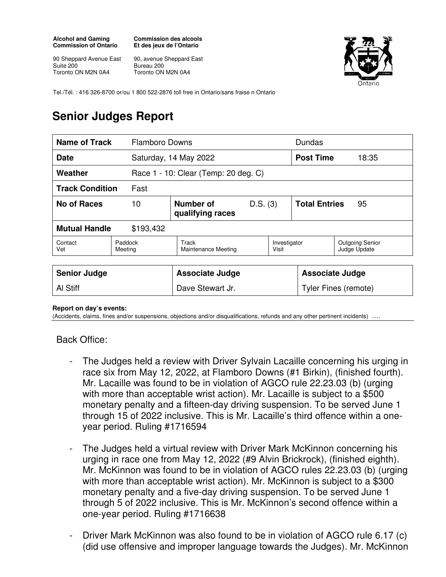## **Alcohol and Gaming Commission of Ontario**

**Commission des alcools Et des jeux de l'Ontario** 

90 Sheppard Avenue East Suite 200 Toronto ON M2N 0A4

90, avenue Sheppard East Bureau 200 Toronto ON M2N 0A4



Tel./Tél. : 416 326-8700 or/ou 1 800 522-2876 toll free in Ontario/sans fraise n Ontario

## **Senior Judges Report**

| <b>Name of Track</b>   |                    | <b>Flamboro Downs</b>                |          |                       | Dundas                     |                                        |
|------------------------|--------------------|--------------------------------------|----------|-----------------------|----------------------------|----------------------------------------|
| <b>Date</b>            |                    | Saturday, 14 May 2022                |          |                       | <b>Post Time</b>           | 18:35                                  |
| Weather                |                    | Race 1 - 10: Clear (Temp: 20 deg. C) |          |                       |                            |                                        |
| <b>Track Condition</b> | Fast               |                                      |          |                       |                            |                                        |
| No of Races            | 10                 | Number of<br>qualifying races        | D.S. (3) |                       | <b>Total Entries</b><br>95 |                                        |
| <b>Mutual Handle</b>   | \$193,432          |                                      |          |                       |                            |                                        |
| Contact<br>Vet         | Paddock<br>Meeting | Track<br>Maintenance Meeting         |          | Investigator<br>Visit |                            | <b>Outgoing Senior</b><br>Judge Update |

| <b>Senior Judge</b> | <b>Associate Judge</b> | <b>Associate Judge</b> |
|---------------------|------------------------|------------------------|
| Al Stiff            | Dave Stewart Jr.       | Tyler Fines (remote)   |

## **Report on day's events:**

(Accidents, claims, fines and/or suspensions, objections and/or disqualifications, refunds and any other pertinent incidents) ….

Back Office:

- The Judges held a review with Driver Sylvain Lacaille concerning his urging in race six from May 12, 2022, at Flamboro Downs (#1 Birkin), (finished fourth). Mr. Lacaille was found to be in violation of AGCO rule 22.23.03 (b) (urging with more than acceptable wrist action). Mr. Lacaille is subject to a \$500 monetary penalty and a fifteen-day driving suspension. To be served June 1 through 15 of 2022 inclusive. This is Mr. Lacaille's third offence within a oneyear period. Ruling #1716594
- The Judges held a virtual review with Driver Mark McKinnon concerning his urging in race one from May 12, 2022 (#9 Alvin Brickrock), (finished eighth). Mr. McKinnon was found to be in violation of AGCO rules 22.23.03 (b) (urging with more than acceptable wrist action). Mr. McKinnon is subject to a \$300 monetary penalty and a five-day driving suspension. To be served June 1 through 5 of 2022 inclusive. This is Mr. McKinnon's second offence within a one-year period. Ruling #1716638
- Driver Mark McKinnon was also found to be in violation of AGCO rule 6.17 (c) (did use offensive and improper language towards the Judges). Mr. McKinnon